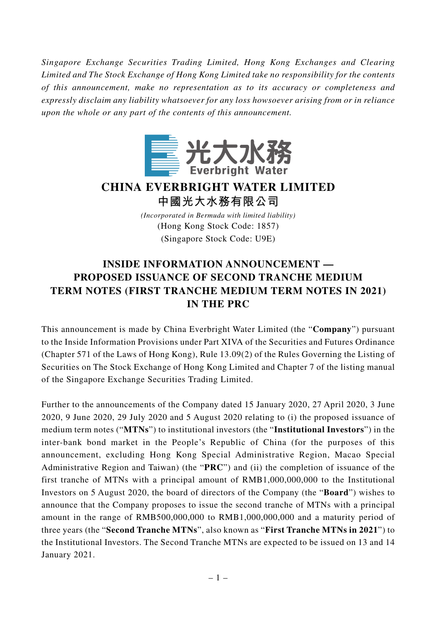*Singapore Exchange Securities Trading Limited, Hong Kong Exchanges and Clearing Limited and The Stock Exchange of Hong Kong Limited take no responsibility for the contents of this announcement, make no representation as to its accuracy or completeness and expressly disclaim any liability whatsoever for any loss howsoever arising from or in reliance upon the whole or any part of the contents of this announcement.*



**CHINA EVERBRIGHT WATER LIMITED**

**中國光大水務有限公司**

*(Incorporated in Bermuda with limited liability)* (Hong Kong Stock Code: 1857) (Singapore Stock Code: U9E)

## **INSIDE INFORMATION ANNOUNCEMENT — PROPOSED ISSUANCE OF SECOND TRANCHE MEDIUM TERM NOTES (FIRST TRANCHE MEDIUM TERM NOTES IN 2021) IN THE PRC**

This announcement is made by China Everbright Water Limited (the "**Company**") pursuant to the Inside Information Provisions under Part XIVA of the Securities and Futures Ordinance (Chapter 571 of the Laws of Hong Kong), Rule 13.09(2) of the Rules Governing the Listing of Securities on The Stock Exchange of Hong Kong Limited and Chapter 7 of the listing manual of the Singapore Exchange Securities Trading Limited.

Further to the announcements of the Company dated 15 January 2020, 27 April 2020, 3 June 2020, 9 June 2020, 29 July 2020 and 5 August 2020 relating to (i) the proposed issuance of medium term notes ("**MTNs**") to institutional investors (the "**Institutional Investors**") in the inter-bank bond market in the People's Republic of China (for the purposes of this announcement, excluding Hong Kong Special Administrative Region, Macao Special Administrative Region and Taiwan) (the "**PRC**") and (ii) the completion of issuance of the first tranche of MTNs with a principal amount of RMB1,000,000,000 to the Institutional Investors on 5 August 2020, the board of directors of the Company (the "**Board**") wishes to announce that the Company proposes to issue the second tranche of MTNs with a principal amount in the range of RMB500,000,000 to RMB1,000,000,000 and a maturity period of three years (the "**Second Tranche MTNs**", also known as "**First Tranche MTNs in 2021**") to the Institutional Investors. The Second Tranche MTNs are expected to be issued on 13 and 14 January 2021.